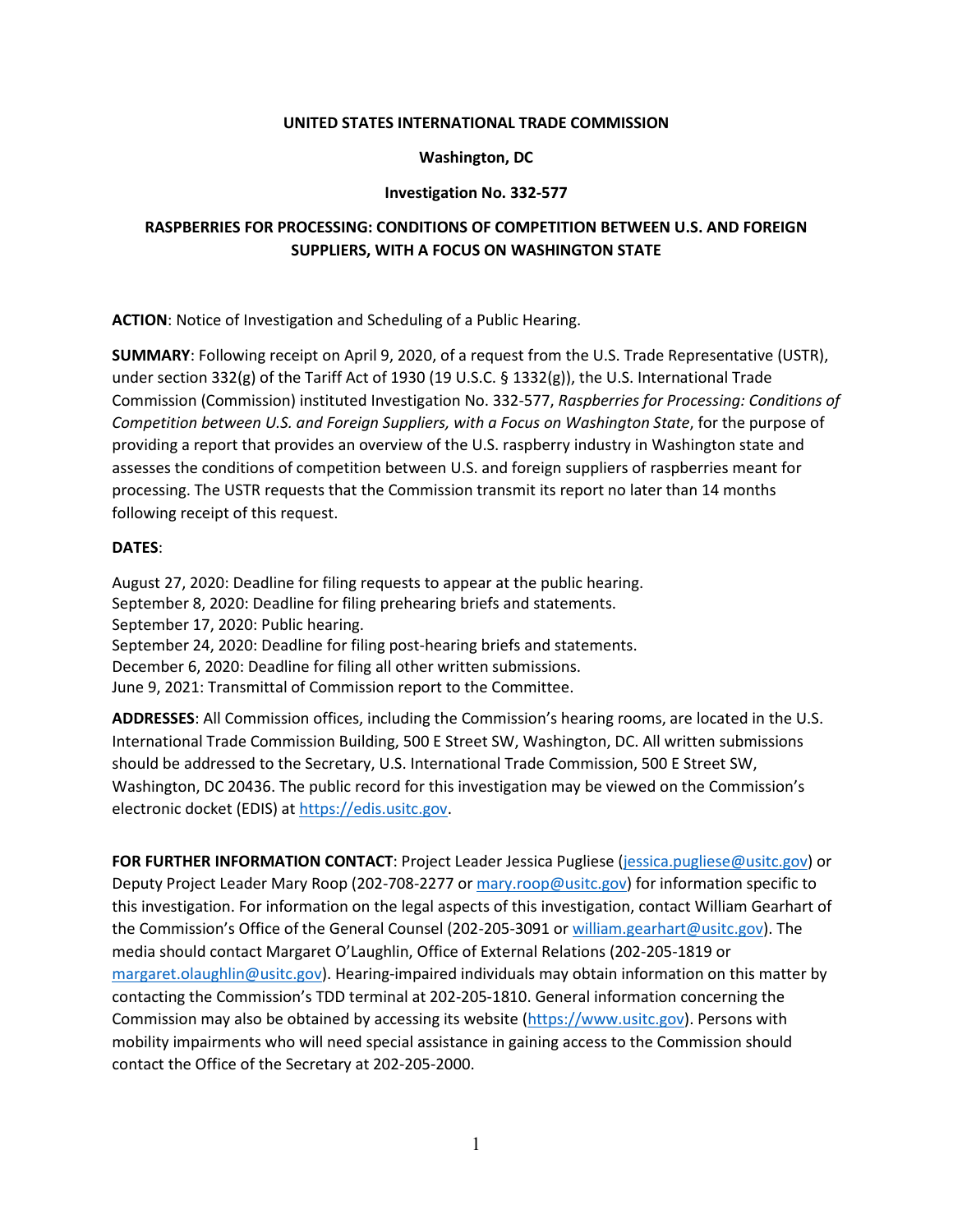## **UNITED STATES INTERNATIONAL TRADE COMMISSION**

## **Washington, DC**

## **Investigation No. 332-577**

# **RASPBERRIES FOR PROCESSING: CONDITIONS OF COMPETITION BETWEEN U.S. AND FOREIGN SUPPLIERS, WITH A FOCUS ON WASHINGTON STATE**

**ACTION**: Notice of Investigation and Scheduling of a Public Hearing.

**SUMMARY**: Following receipt on April 9, 2020, of a request from the U.S. Trade Representative (USTR), under section 332(g) of the Tariff Act of 1930 (19 U.S.C. § 1332(g)), the U.S. International Trade Commission (Commission) instituted Investigation No. 332-577, *Raspberries for Processing: Conditions of Competition between U.S. and Foreign Suppliers, with a Focus on Washington State*, for the purpose of providing a report that provides an overview of the U.S. raspberry industry in Washington state and assesses the conditions of competition between U.S. and foreign suppliers of raspberries meant for processing. The USTR requests that the Commission transmit its report no later than 14 months following receipt of this request.

## **DATES**:

August 27, 2020: Deadline for filing requests to appear at the public hearing. September 8, 2020: Deadline for filing prehearing briefs and statements. September 17, 2020: Public hearing. September 24, 2020: Deadline for filing post-hearing briefs and statements. December 6, 2020: Deadline for filing all other written submissions. June 9, 2021: Transmittal of Commission report to the Committee.

**ADDRESSES**: All Commission offices, including the Commission's hearing rooms, are located in the U.S. International Trade Commission Building, 500 E Street SW, Washington, DC. All written submissions should be addressed to the Secretary, U.S. International Trade Commission, 500 E Street SW, Washington, DC 20436. The public record for this investigation may be viewed on the Commission's electronic docket (EDIS) at [https://edis.usitc.gov.](https://edis.usitc.gov/)

**FOR FURTHER INFORMATION CONTACT**: Project Leader Jessica Pugliese [\(jessica.pugliese@usitc.gov\)](mailto:jessica.pugliese@usitc.gov) or Deputy Project Leader Mary Roop (202-708-2277 or mary.roop@usitc.gov) for information specific to this investigation. For information on the legal aspects of this investigation, contact William Gearhart of the Commission's Office of the General Counsel (202-205-3091 or william.gearhart@usitc.gov). The media should contact Margaret O'Laughlin, Office of External Relations (202-205-1819 or margaret.olaughlin@usitc.gov). Hearing-impaired individuals may obtain information on this matter by contacting the Commission's TDD terminal at 202-205-1810. General information concerning the Commission may also be obtained by accessing its website [\(https://www.usitc.gov\)](https://www.usitc.gov/). Persons with mobility impairments who will need special assistance in gaining access to the Commission should contact the Office of the Secretary at 202-205-2000.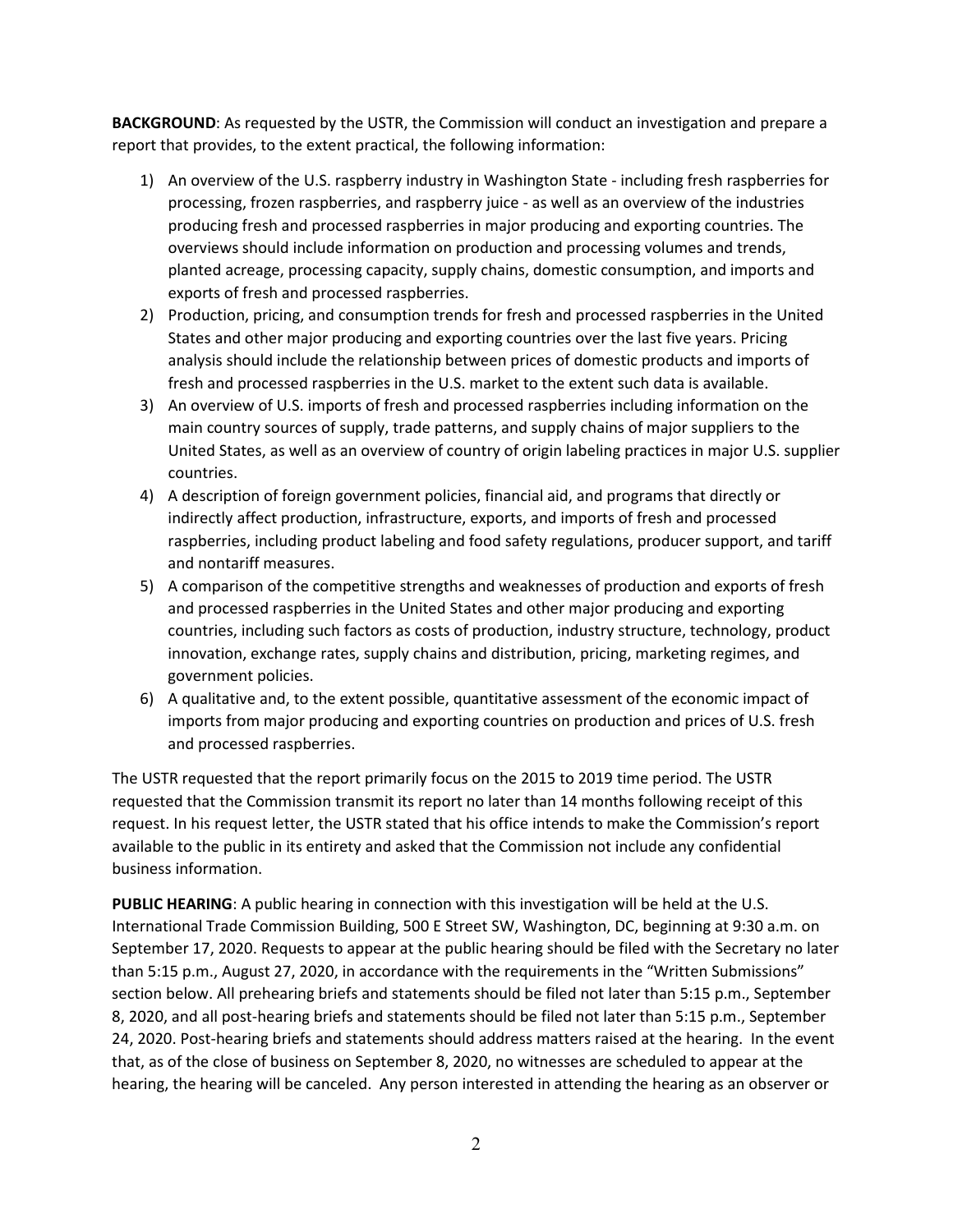**BACKGROUND**: As requested by the USTR, the Commission will conduct an investigation and prepare a report that provides, to the extent practical, the following information:

- 1) An overview of the U.S. raspberry industry in Washington State including fresh raspberries for processing, frozen raspberries, and raspberry juice - as well as an overview of the industries producing fresh and processed raspberries in major producing and exporting countries. The overviews should include information on production and processing volumes and trends, planted acreage, processing capacity, supply chains, domestic consumption, and imports and exports of fresh and processed raspberries.
- 2) Production, pricing, and consumption trends for fresh and processed raspberries in the United States and other major producing and exporting countries over the last five years. Pricing analysis should include the relationship between prices of domestic products and imports of fresh and processed raspberries in the U.S. market to the extent such data is available.
- 3) An overview of U.S. imports of fresh and processed raspberries including information on the main country sources of supply, trade patterns, and supply chains of major suppliers to the United States, as well as an overview of country of origin labeling practices in major U.S. supplier countries.
- 4) A description of foreign government policies, financial aid, and programs that directly or indirectly affect production, infrastructure, exports, and imports of fresh and processed raspberries, including product labeling and food safety regulations, producer support, and tariff and nontariff measures.
- 5) A comparison of the competitive strengths and weaknesses of production and exports of fresh and processed raspberries in the United States and other major producing and exporting countries, including such factors as costs of production, industry structure, technology, product innovation, exchange rates, supply chains and distribution, pricing, marketing regimes, and government policies.
- 6) A qualitative and, to the extent possible, quantitative assessment of the economic impact of imports from major producing and exporting countries on production and prices of U.S. fresh and processed raspberries.

The USTR requested that the report primarily focus on the 2015 to 2019 time period. The USTR requested that the Commission transmit its report no later than 14 months following receipt of this request. In his request letter, the USTR stated that his office intends to make the Commission's report available to the public in its entirety and asked that the Commission not include any confidential business information.

**PUBLIC HEARING**: A public hearing in connection with this investigation will be held at the U.S. International Trade Commission Building, 500 E Street SW, Washington, DC, beginning at 9:30 a.m. on September 17, 2020. Requests to appear at the public hearing should be filed with the Secretary no later than 5:15 p.m., August 27, 2020, in accordance with the requirements in the "Written Submissions" section below. All prehearing briefs and statements should be filed not later than 5:15 p.m., September 8, 2020, and all post-hearing briefs and statements should be filed not later than 5:15 p.m., September 24, 2020. Post-hearing briefs and statements should address matters raised at the hearing. In the event that, as of the close of business on September 8, 2020, no witnesses are scheduled to appear at the hearing, the hearing will be canceled. Any person interested in attending the hearing as an observer or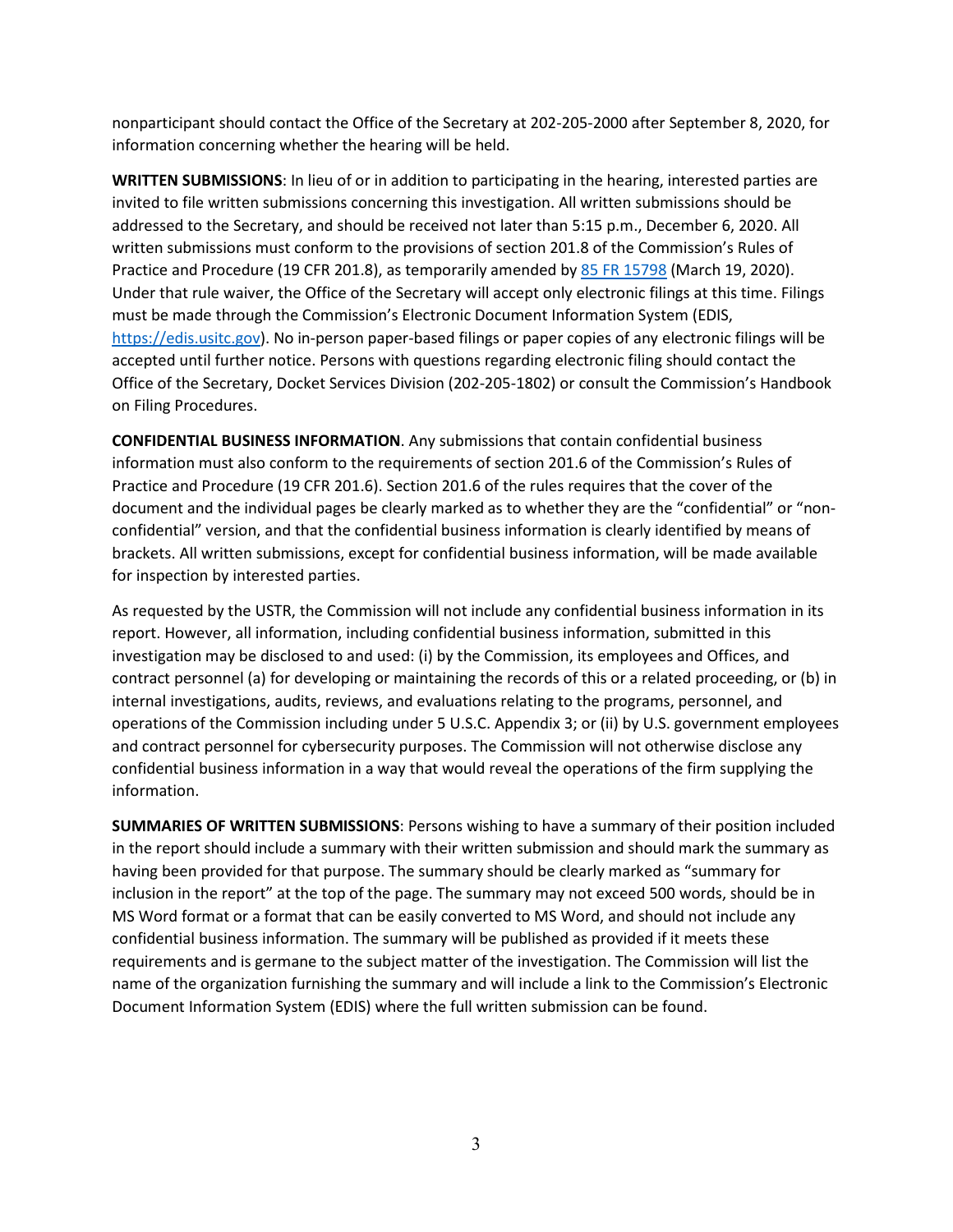nonparticipant should contact the Office of the Secretary at 202-205-2000 after September 8, 2020, for information concerning whether the hearing will be held.

**WRITTEN SUBMISSIONS**: In lieu of or in addition to participating in the hearing, interested parties are invited to file written submissions concerning this investigation. All written submissions should be addressed to the Secretary, and should be received not later than 5:15 p.m., December 6, 2020. All written submissions must conform to the provisions of section 201.8 of the Commission's Rules of Practice and Procedure (19 CFR 201.8), as temporarily amended by [85 FR 15798](https://www.govinfo.gov/content/pkg/FR-2020-03-19/pdf/2020-05767.pdf) (March 19, 2020). Under that rule waiver, the Office of the Secretary will accept only electronic filings at this time. Filings must be made through the Commission's Electronic Document Information System (EDIS, [https://edis.usitc.gov\)](https://edis.usitc.gov/). No in-person paper-based filings or paper copies of any electronic filings will be accepted until further notice. Persons with questions regarding electronic filing should contact the Office of the Secretary, Docket Services Division (202-205-1802) or consult the Commission's Handbook on Filing Procedures.

**CONFIDENTIAL BUSINESS INFORMATION**. Any submissions that contain confidential business information must also conform to the requirements of section 201.6 of the Commission's Rules of Practice and Procedure (19 CFR 201.6). Section 201.6 of the rules requires that the cover of the document and the individual pages be clearly marked as to whether they are the "confidential" or "nonconfidential" version, and that the confidential business information is clearly identified by means of brackets. All written submissions, except for confidential business information, will be made available for inspection by interested parties.

As requested by the USTR, the Commission will not include any confidential business information in its report. However, all information, including confidential business information, submitted in this investigation may be disclosed to and used: (i) by the Commission, its employees and Offices, and contract personnel (a) for developing or maintaining the records of this or a related proceeding, or (b) in internal investigations, audits, reviews, and evaluations relating to the programs, personnel, and operations of the Commission including under 5 U.S.C. Appendix 3; or (ii) by U.S. government employees and contract personnel for cybersecurity purposes. The Commission will not otherwise disclose any confidential business information in a way that would reveal the operations of the firm supplying the information.

**SUMMARIES OF WRITTEN SUBMISSIONS**: Persons wishing to have a summary of their position included in the report should include a summary with their written submission and should mark the summary as having been provided for that purpose. The summary should be clearly marked as "summary for inclusion in the report" at the top of the page. The summary may not exceed 500 words, should be in MS Word format or a format that can be easily converted to MS Word, and should not include any confidential business information. The summary will be published as provided if it meets these requirements and is germane to the subject matter of the investigation. The Commission will list the name of the organization furnishing the summary and will include a link to the Commission's Electronic Document Information System (EDIS) where the full written submission can be found.